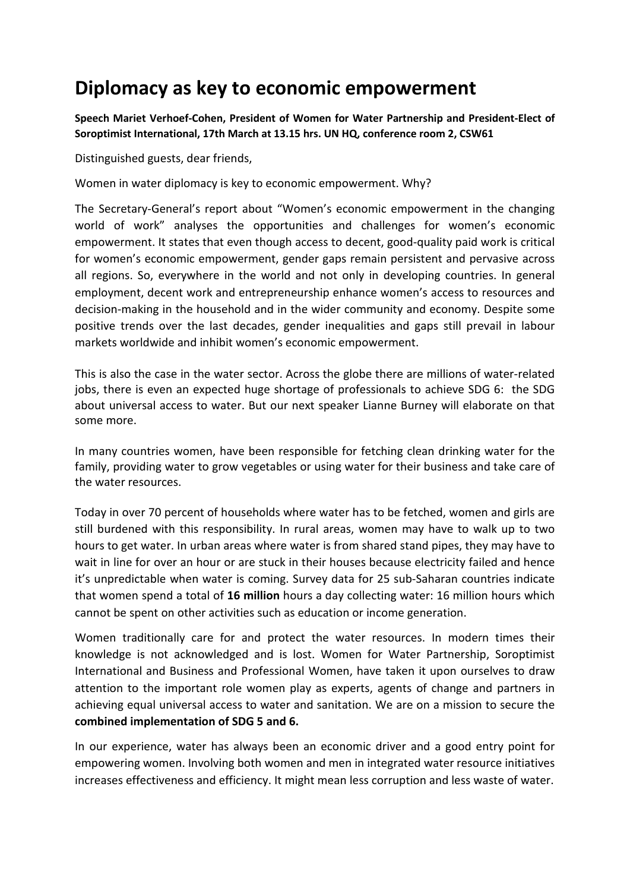## **Diplomacy as key to economic empowerment**

**Speech Mariet Verhoef-Cohen, President of Women for Water Partnership and President-Elect of Soroptimist International, 17th March at 13.15 hrs. UN HQ, conference room 2, CSW61**

Distinguished guests, dear friends,

Women in water diplomacy is key to economic empowerment. Why?

The Secretary-General's report about "Women's economic empowerment in the changing world of work" analyses the opportunities and challenges for women's economic empowerment. It states that even though access to decent, good-quality paid work is critical for women's economic empowerment, gender gaps remain persistent and pervasive across all regions. So, everywhere in the world and not only in developing countries. In general employment, decent work and entrepreneurship enhance women's access to resources and decision-making in the household and in the wider community and economy. Despite some positive trends over the last decades, gender inequalities and gaps still prevail in labour markets worldwide and inhibit women's economic empowerment.

This is also the case in the water sector. Across the globe there are millions of water-related jobs, there is even an expected huge shortage of professionals to achieve SDG 6: the SDG about universal access to water. But our next speaker Lianne Burney will elaborate on that some more.

In many countries women, have been responsible for fetching clean drinking water for the family, providing water to grow vegetables or using water for their business and take care of the water resources.

Today in over 70 percent of households where water has to be fetched, women and girls are still burdened with this responsibility. In rural areas, women may have to walk up to two hours to get water. In urban areas where water is from shared stand pipes, they may have to wait in line for over an hour or are stuck in their houses because electricity failed and hence it's unpredictable when water is coming. Survey data for 25 sub-Saharan countries indicate that women spend a total of **16 million** hours a day collecting water: 16 million hours which cannot be spent on other activities such as education or income generation.

Women traditionally care for and protect the water resources. In modern times their knowledge is not acknowledged and is lost. Women for Water Partnership, Soroptimist International and Business and Professional Women, have taken it upon ourselves to draw attention to the important role women play as experts, agents of change and partners in achieving equal universal access to water and sanitation. We are on a mission to secure the **combined implementation of SDG 5 and 6.**

In our experience, water has always been an economic driver and a good entry point for empowering women. Involving both women and men in integrated water resource initiatives increases effectiveness and efficiency. It might mean less corruption and less waste of water.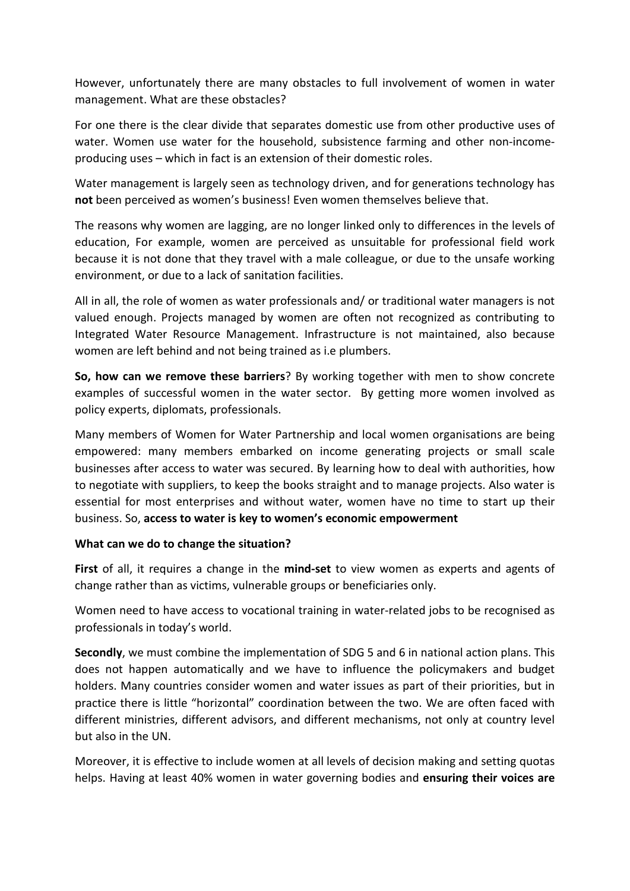However, unfortunately there are many obstacles to full involvement of women in water management. What are these obstacles?

For one there is the clear divide that separates domestic use from other productive uses of water. Women use water for the household, subsistence farming and other non-incomeproducing uses – which in fact is an extension of their domestic roles.

Water management is largely seen as technology driven, and for generations technology has **not** been perceived as women's business! Even women themselves believe that.

The reasons why women are lagging, are no longer linked only to differences in the levels of education, For example, women are perceived as unsuitable for professional field work because it is not done that they travel with a male colleague, or due to the unsafe working environment, or due to a lack of sanitation facilities.

All in all, the role of women as water professionals and/ or traditional water managers is not valued enough. Projects managed by women are often not recognized as contributing to Integrated Water Resource Management. Infrastructure is not maintained, also because women are left behind and not being trained as i.e plumbers.

**So, how can we remove these barriers**? By working together with men to show concrete examples of successful women in the water sector. By getting more women involved as policy experts, diplomats, professionals.

Many members of Women for Water Partnership and local women organisations are being empowered: many members embarked on income generating projects or small scale businesses after access to water was secured. By learning how to deal with authorities, how to negotiate with suppliers, to keep the books straight and to manage projects. Also water is essential for most enterprises and without water, women have no time to start up their business. So, **access to water is key to women's economic empowerment**

## **What can we do to change the situation?**

**First** of all, it requires a change in the **mind-set** to view women as experts and agents of change rather than as victims, vulnerable groups or beneficiaries only.

Women need to have access to vocational training in water-related jobs to be recognised as professionals in today's world.

**Secondly**, we must combine the implementation of SDG 5 and 6 in national action plans. This does not happen automatically and we have to influence the policymakers and budget holders. Many countries consider women and water issues as part of their priorities, but in practice there is little "horizontal" coordination between the two. We are often faced with different ministries, different advisors, and different mechanisms, not only at country level but also in the UN.

Moreover, it is effective to include women at all levels of decision making and setting quotas helps. Having at least 40% women in water governing bodies and **ensuring their voices are**